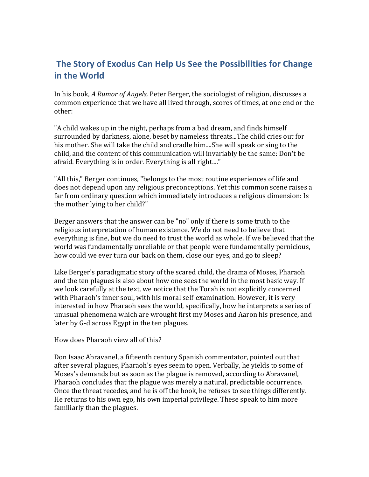## **The Story of Exodus Can Help Us See the Possibilities for Change in the World**

In his book, *A* Rumor of *Angels*, Peter Berger, the sociologist of religion, discusses a common experience that we have all lived through, scores of times, at one end or the other:

"A child wakes up in the night, perhaps from a bad dream, and finds himself surrounded by darkness, alone, beset by nameless threats...The child cries out for his mother. She will take the child and cradle him....She will speak or sing to the child, and the content of this communication will invariably be the same: Don't be afraid. Everything is in order. Everything is all right...."

"All this," Berger continues, "belongs to the most routine experiences of life and does not depend upon any religious preconceptions. Yet this common scene raises a far from ordinary question which immediately introduces a religious dimension: Is the mother lying to her child?"

Berger answers that the answer can be "no" only if there is some truth to the religious interpretation of human existence. We do not need to believe that everything is fine, but we do need to trust the world as whole. If we believed that the world was fundamentally unreliable or that people were fundamentally pernicious, how could we ever turn our back on them, close our eyes, and go to sleep?

Like Berger's paradigmatic story of the scared child, the drama of Moses, Pharaoh and the ten plagues is also about how one sees the world in the most basic way. If we look carefully at the text, we notice that the Torah is not explicitly concerned with Pharaoh's inner soul, with his moral self-examination. However, it is very interested in how Pharaoh sees the world, specifically, how he interprets a series of unusual phenomena which are wrought first my Moses and Aaron his presence, and later by G-d across Egypt in the ten plagues.

How does Pharaoh view all of this?

Don Isaac Abravanel, a fifteenth century Spanish commentator, pointed out that after several plagues, Pharaoh's eyes seem to open. Verbally, he yields to some of Moses's demands but as soon as the plague is removed, according to Abravanel, Pharaoh concludes that the plague was merely a natural, predictable occurrence. Once the threat recedes, and he is off the hook, he refuses to see things differently. He returns to his own ego, his own imperial privilege. These speak to him more familiarly than the plagues.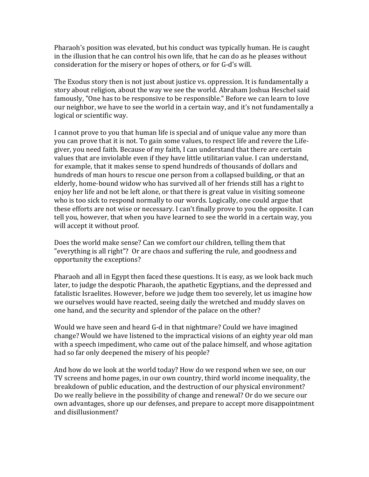Pharaoh's position was elevated, but his conduct was typically human. He is caught in the illusion that he can control his own life, that he can do as he pleases without consideration for the misery or hopes of others, or for G-d's will.

The Exodus story then is not just about justice vs. oppression. It is fundamentally a story about religion, about the way we see the world. Abraham Joshua Heschel said famously, "One has to be responsive to be responsible." Before we can learn to love our neighbor, we have to see the world in a certain way, and it's not fundamentally a logical or scientific way.

I cannot prove to you that human life is special and of unique value any more than you can prove that it is not. To gain some values, to respect life and revere the Lifegiver, you need faith. Because of my faith, I can understand that there are certain values that are inviolable even if they have little utilitarian value. I can understand, for example, that it makes sense to spend hundreds of thousands of dollars and hundreds of man hours to rescue one person from a collapsed building, or that an elderly, home-bound widow who has survived all of her friends still has a right to enjoy her life and not be left alone, or that there is great value in visiting someone who is too sick to respond normally to our words. Logically, one could argue that these efforts are not wise or necessary. I can't finally prove to you the opposite. I can tell you, however, that when you have learned to see the world in a certain way, you will accept it without proof.

Does the world make sense? Can we comfort our children, telling them that "everything is all right"? Or are chaos and suffering the rule, and goodness and opportunity the exceptions?

Pharaoh and all in Egypt then faced these questions. It is easy, as we look back much later, to judge the despotic Pharaoh, the apathetic Egyptians, and the depressed and fatalistic Israelites. However, before we judge them too severely, let us imagine how we ourselves would have reacted, seeing daily the wretched and muddy slaves on one hand, and the security and splendor of the palace on the other?

Would we have seen and heard G-d in that nightmare? Could we have imagined change? Would we have listened to the impractical visions of an eighty year old man with a speech impediment, who came out of the palace himself, and whose agitation had so far only deepened the misery of his people?

And how do we look at the world today? How do we respond when we see, on our TV screens and home pages, in our own country, third world income inequality, the breakdown of public education, and the destruction of our physical environment? Do we really believe in the possibility of change and renewal? Or do we secure our own advantages, shore up our defenses, and prepare to accept more disappointment and disillusionment?